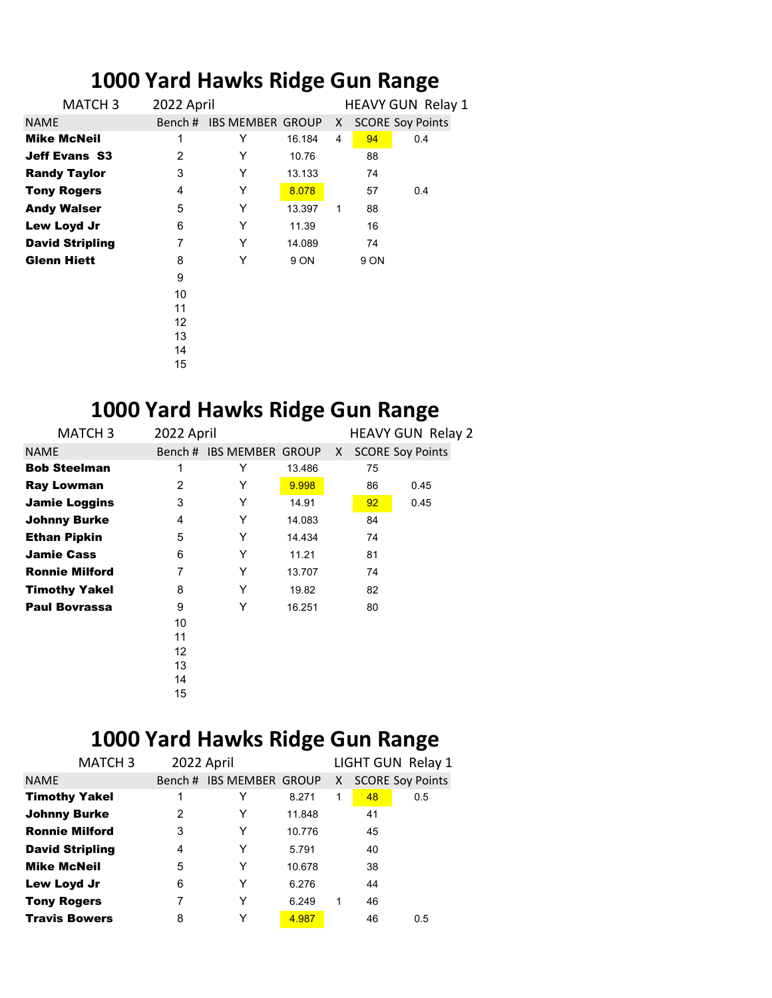# **1000 Yard Hawks Ridge Gun Range**

| <b>MATCH 3</b>         | 2022 April |                         |        |    | <b>HEAVY GUN Relay 1</b> |                         |  |
|------------------------|------------|-------------------------|--------|----|--------------------------|-------------------------|--|
| <b>NAME</b>            | Bench #    | <b>IBS MEMBER GROUP</b> |        | X. |                          | <b>SCORE Soy Points</b> |  |
| <b>Mike McNeil</b>     | 1          | Y                       | 16.184 | 4  | 94                       | 0.4                     |  |
| <b>Jeff Evans S3</b>   | 2          | Y                       | 10.76  |    | 88                       |                         |  |
| <b>Randy Taylor</b>    | 3          | Y                       | 13.133 |    | 74                       |                         |  |
| <b>Tony Rogers</b>     | 4          | Y                       | 8.078  |    | 57                       | 0.4                     |  |
| <b>Andy Walser</b>     | 5          | Y                       | 13.397 | 1  | 88                       |                         |  |
| Lew Loyd Jr            | 6          | Y                       | 11.39  |    | 16                       |                         |  |
| <b>David Stripling</b> | 7          | Y                       | 14.089 |    | 74                       |                         |  |
| <b>Glenn Hiett</b>     | 8          | Y                       | 9 ON   |    | 9 ON                     |                         |  |
|                        | 9          |                         |        |    |                          |                         |  |
|                        | 10         |                         |        |    |                          |                         |  |
|                        | 11         |                         |        |    |                          |                         |  |
|                        | 12         |                         |        |    |                          |                         |  |
|                        | 13         |                         |        |    |                          |                         |  |
|                        | 14         |                         |        |    |                          |                         |  |
|                        | 15         |                         |        |    |                          |                         |  |

## **1000 Yard Hawks Ridge Gun Range**

| <b>MATCH 3</b>        | 2022 April |                          |        |    |    | <b>HEAVY GUN Relay 2</b> |
|-----------------------|------------|--------------------------|--------|----|----|--------------------------|
| <b>NAME</b>           |            | Bench # IBS MEMBER GROUP |        | X. |    | <b>SCORE Soy Points</b>  |
| <b>Bob Steelman</b>   | 1          | Y                        | 13.486 |    | 75 |                          |
| Ray Lowman            | 2          | Y                        | 9.998  |    | 86 | 0.45                     |
| <b>Jamie Loggins</b>  | 3          | Y                        | 14.91  |    | 92 | 0.45                     |
| <b>Johnny Burke</b>   | 4          | Y                        | 14.083 |    | 84 |                          |
| <b>Ethan Pipkin</b>   | 5          | Y                        | 14.434 |    | 74 |                          |
| <b>Jamie Cass</b>     | 6          | Υ                        | 11.21  |    | 81 |                          |
| <b>Ronnie Milford</b> | 7          | Y                        | 13.707 |    | 74 |                          |
| <b>Timothy Yakel</b>  | 8          | Y                        | 19.82  |    | 82 |                          |
| <b>Paul Bovrassa</b>  | 9          | Υ                        | 16.251 |    | 80 |                          |
|                       | 10         |                          |        |    |    |                          |
|                       | 11         |                          |        |    |    |                          |
|                       | 12         |                          |        |    |    |                          |
|                       | 13         |                          |        |    |    |                          |
|                       | 14         |                          |        |    |    |                          |
|                       | 15         |                          |        |    |    |                          |

## **1000 Yard Hawks Ridge Gun Range**

| <b>MATCH 3</b>         |        | 2022 April              |        |   |    | LIGHT GUN Relay 1       |
|------------------------|--------|-------------------------|--------|---|----|-------------------------|
| <b>NAME</b>            | Bench# | <b>IBS MEMBER GROUP</b> |        | X |    | <b>SCORE Soy Points</b> |
| <b>Timothy Yakel</b>   |        | Y                       | 8.271  |   | 48 | 0.5                     |
| <b>Johnny Burke</b>    | 2      | Y                       | 11.848 |   | 41 |                         |
| <b>Ronnie Milford</b>  | 3      | Y                       | 10.776 |   | 45 |                         |
| <b>David Stripling</b> | 4      | Y                       | 5.791  |   | 40 |                         |
| <b>Mike McNeil</b>     | 5      | Y                       | 10.678 |   | 38 |                         |
| Lew Loyd Jr            | 6      | Y                       | 6.276  |   | 44 |                         |
| <b>Tony Rogers</b>     |        | Y                       | 6.249  | 1 | 46 |                         |
| <b>Travis Bowers</b>   | 8      | Υ                       | 4.987  |   | 46 | 0.5                     |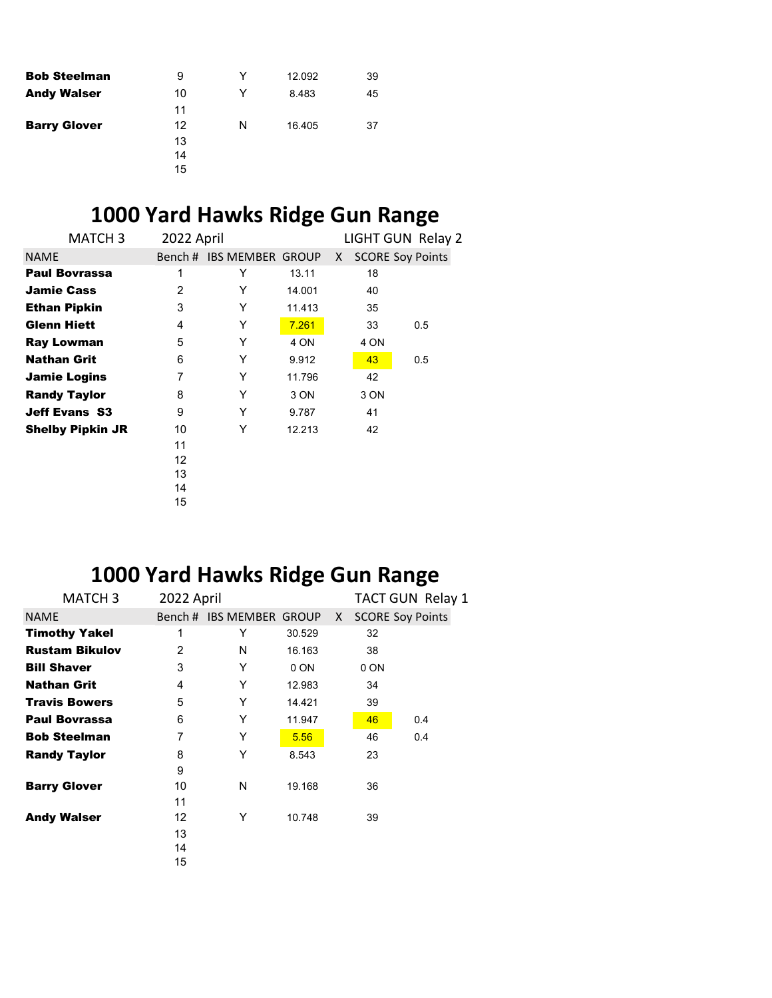| <b>Bob Steelman</b> | 9  | Y | 12.092 | 39 |
|---------------------|----|---|--------|----|
| <b>Andy Walser</b>  | 10 | Y | 8.483  | 45 |
|                     | 11 |   |        |    |
| <b>Barry Glover</b> | 12 | N | 16.405 | 37 |
|                     | 13 |   |        |    |
|                     | 14 |   |        |    |
|                     | 15 |   |        |    |

# **1000 Yard Hawks Ridge Gun Range**

| <b>MATCH 3</b>          | 2022 April        |                          |        |   |      | LIGHT GUN Relay 2       |  |
|-------------------------|-------------------|--------------------------|--------|---|------|-------------------------|--|
| <b>NAME</b>             |                   | Bench # IBS MEMBER GROUP |        | X |      | <b>SCORE Soy Points</b> |  |
| <b>Paul Bovrassa</b>    |                   | Y                        | 13.11  |   | 18   |                         |  |
| <b>Jamie Cass</b>       | 2                 | Y                        | 14.001 |   | 40   |                         |  |
| <b>Ethan Pipkin</b>     | 3                 | Y                        | 11.413 |   | 35   |                         |  |
| Glenn Hiett             | 4                 | Y                        | 7.261  |   | 33   | 0.5                     |  |
| Ray Lowman              | 5                 | Υ                        | 4 ON   |   | 4 ON |                         |  |
| <b>Nathan Grit</b>      | 6                 | Y                        | 9.912  |   | 43   | 0.5                     |  |
| <b>Jamie Logins</b>     | 7                 | Y                        | 11.796 |   | 42   |                         |  |
| <b>Randy Taylor</b>     | 8                 | Y                        | 3 ON   |   | 3 ON |                         |  |
| <b>Jeff Evans S3</b>    | 9                 | Y                        | 9.787  |   | 41   |                         |  |
| <b>Shelby Pipkin JR</b> | 10                | Y                        | 12.213 |   | 42   |                         |  |
|                         | 11                |                          |        |   |      |                         |  |
|                         | $12 \overline{ }$ |                          |        |   |      |                         |  |
|                         | 13                |                          |        |   |      |                         |  |
|                         | 14                |                          |        |   |      |                         |  |
|                         | 15                |                          |        |   |      |                         |  |

# **1000 Yard Hawks Ridge Gun Range**

| <b>MATCH 3</b>        | 2022 April |                          |        |    |      | <b>TACT GUN Relay 1</b> |  |
|-----------------------|------------|--------------------------|--------|----|------|-------------------------|--|
| <b>NAME</b>           |            | Bench # IBS MEMBER GROUP |        | X. |      | <b>SCORE Soy Points</b> |  |
| <b>Timothy Yakel</b>  | 1          | Y                        | 30.529 |    | 32   |                         |  |
| <b>Rustam Bikulov</b> | 2          | N                        | 16.163 |    | 38   |                         |  |
| <b>Bill Shaver</b>    | 3          | Y                        | 0 ON   |    | 0 ON |                         |  |
| <b>Nathan Grit</b>    | 4          | Y                        | 12.983 |    | 34   |                         |  |
| <b>Travis Bowers</b>  | 5          | Y                        | 14.421 |    | 39   |                         |  |
| <b>Paul Bovrassa</b>  | 6          | Y                        | 11.947 |    | 46   | 0.4                     |  |
| <b>Bob Steelman</b>   | 7          | Y                        | 5.56   |    | 46   | 0.4                     |  |
| <b>Randy Taylor</b>   | 8          | Y                        | 8.543  |    | 23   |                         |  |
|                       | 9          |                          |        |    |      |                         |  |
| <b>Barry Glover</b>   | 10         | N                        | 19.168 |    | 36   |                         |  |
|                       | 11         |                          |        |    |      |                         |  |
| <b>Andy Walser</b>    | 12         | Υ                        | 10.748 |    | 39   |                         |  |
|                       | 13         |                          |        |    |      |                         |  |
|                       | 14         |                          |        |    |      |                         |  |
|                       | 15         |                          |        |    |      |                         |  |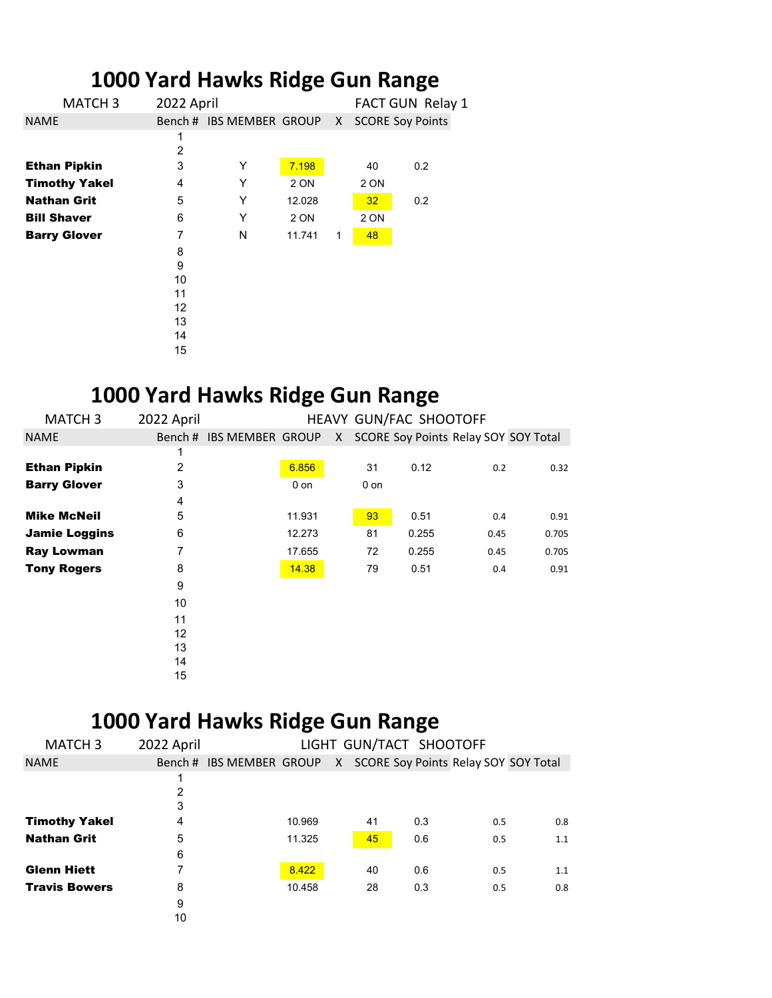|                      |            | TUUU TATU NAWNS NIUGE QUII NAIIGE |        |    |                 |                         |
|----------------------|------------|-----------------------------------|--------|----|-----------------|-------------------------|
| <b>MATCH 3</b>       | 2022 April |                                   |        |    |                 | FACT GUN Relay 1        |
| <b>NAME</b>          |            | Bench # IBS MEMBER GROUP          |        | X. |                 | <b>SCORE Soy Points</b> |
|                      | 1          |                                   |        |    |                 |                         |
|                      | 2          |                                   |        |    |                 |                         |
| <b>Ethan Pipkin</b>  | 3          | Y                                 | 7.198  |    | 40              | 0.2                     |
| <b>Timothy Yakel</b> | 4          | Y                                 | 2 ON   |    | 2 ON            |                         |
| <b>Nathan Grit</b>   | 5          | Y                                 | 12.028 |    | 32 <sup>2</sup> | 0.2                     |
| <b>Bill Shaver</b>   | 6          | Y                                 | 2 ON   |    | 2 ON            |                         |
| <b>Barry Glover</b>  | 7          | N                                 | 11.741 | 1  | 48              |                         |
|                      | 8          |                                   |        |    |                 |                         |
|                      | 9          |                                   |        |    |                 |                         |
|                      | 10         |                                   |        |    |                 |                         |
|                      | 11         |                                   |        |    |                 |                         |
|                      | 12         |                                   |        |    |                 |                         |
|                      | 13         |                                   |        |    |                 |                         |
|                      | 14         |                                   |        |    |                 |                         |
|                      | 15         |                                   |        |    |                 |                         |

#### **1000 Yard Hawks Ridge Gun Range**

# **1000 Yard Hawks Ridge Gun Range**

| <b>MATCH 3</b>       | 2022 April        |                          |        |              |        | HEAVY GUN/FAC SHOOTOFF               |      |       |
|----------------------|-------------------|--------------------------|--------|--------------|--------|--------------------------------------|------|-------|
| <b>NAME</b>          |                   | Bench # IBS MEMBER GROUP |        | $\mathsf{X}$ |        | SCORE Soy Points Relay SOY SOY Total |      |       |
|                      | 1                 |                          |        |              |        |                                      |      |       |
| <b>Ethan Pipkin</b>  | $\overline{2}$    |                          | 6.856  |              | 31     | 0.12                                 | 0.2  | 0.32  |
| <b>Barry Glover</b>  | 3                 |                          | $0$ on |              | $0$ on |                                      |      |       |
|                      | 4                 |                          |        |              |        |                                      |      |       |
| <b>Mike McNeil</b>   | 5                 |                          | 11.931 |              | 93     | 0.51                                 | 0.4  | 0.91  |
| <b>Jamie Loggins</b> | 6                 |                          | 12.273 |              | 81     | 0.255                                | 0.45 | 0.705 |
| <b>Ray Lowman</b>    | 7                 |                          | 17.655 |              | 72     | 0.255                                | 0.45 | 0.705 |
| <b>Tony Rogers</b>   | 8                 |                          | 14.38  |              | 79     | 0.51                                 | 0.4  | 0.91  |
|                      | 9                 |                          |        |              |        |                                      |      |       |
|                      | 10                |                          |        |              |        |                                      |      |       |
|                      | 11                |                          |        |              |        |                                      |      |       |
|                      | $12 \overline{ }$ |                          |        |              |        |                                      |      |       |
|                      | 13                |                          |        |              |        |                                      |      |       |
|                      | 14                |                          |        |              |        |                                      |      |       |
|                      | 15                |                          |        |              |        |                                      |      |       |

# **1000 Yard Hawks Ridge Gun Range**

| MATCH <sub>3</sub>   | 2022 April |                          |        | LIGHT GUN/TACT SHOOTOFF |     |                                        |     |
|----------------------|------------|--------------------------|--------|-------------------------|-----|----------------------------------------|-----|
| <b>NAME</b>          |            | Bench # IBS MEMBER GROUP |        |                         |     | X SCORE Soy Points Relay SOY SOY Total |     |
|                      | 1          |                          |        |                         |     |                                        |     |
|                      | 2          |                          |        |                         |     |                                        |     |
|                      | 3          |                          |        |                         |     |                                        |     |
| <b>Timothy Yakel</b> | 4          |                          | 10.969 | 41                      | 0.3 | 0.5                                    | 0.8 |
| <b>Nathan Grit</b>   | 5          |                          | 11.325 | 45                      | 0.6 | 0.5                                    | 1.1 |
|                      | 6          |                          |        |                         |     |                                        |     |
| <b>Glenn Hiett</b>   | 7          |                          | 8.422  | 40                      | 0.6 | 0.5                                    | 1.1 |
| <b>Travis Bowers</b> | 8          |                          | 10.458 | 28                      | 0.3 | 0.5                                    | 0.8 |
|                      | 9          |                          |        |                         |     |                                        |     |
|                      | 10         |                          |        |                         |     |                                        |     |